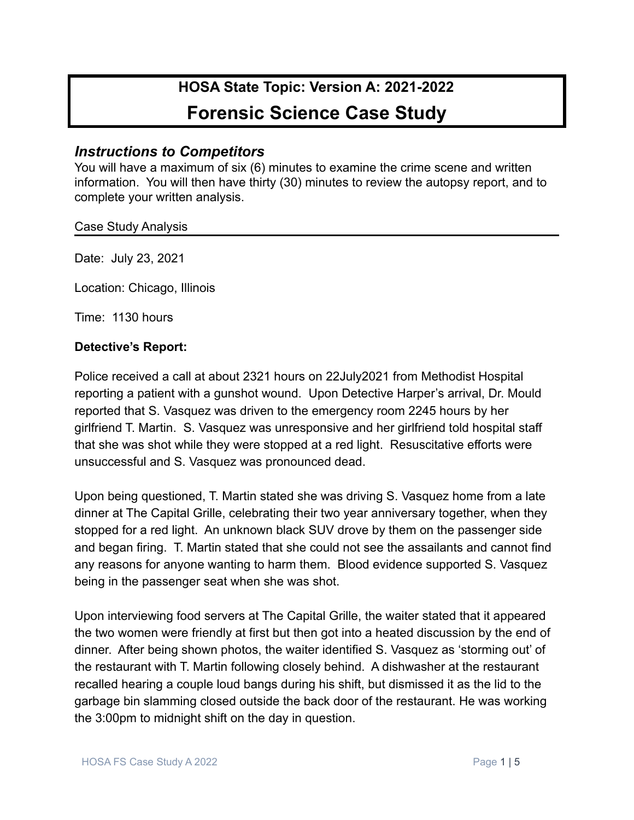# **HOSA State Topic: Version A: 2021-2022 Forensic Science Case Study**

# *Instructions to Competitors*

You will have a maximum of six (6) minutes to examine the crime scene and written information. You will then have thirty (30) minutes to review the autopsy report, and to complete your written analysis.

#### Case Study Analysis

Date: July 23, 2021

Location: Chicago, Illinois

Time: 1130 hours

#### **Detective's Report:**

Police received a call at about 2321 hours on 22July2021 from Methodist Hospital reporting a patient with a gunshot wound. Upon Detective Harper's arrival, Dr. Mould reported that S. Vasquez was driven to the emergency room 2245 hours by her girlfriend T. Martin. S. Vasquez was unresponsive and her girlfriend told hospital staff that she was shot while they were stopped at a red light. Resuscitative efforts were unsuccessful and S. Vasquez was pronounced dead.

Upon being questioned, T. Martin stated she was driving S. Vasquez home from a late dinner at The Capital Grille, celebrating their two year anniversary together, when they stopped for a red light. An unknown black SUV drove by them on the passenger side and began firing. T. Martin stated that she could not see the assailants and cannot find any reasons for anyone wanting to harm them. Blood evidence supported S. Vasquez being in the passenger seat when she was shot.

Upon interviewing food servers at The Capital Grille, the waiter stated that it appeared the two women were friendly at first but then got into a heated discussion by the end of dinner. After being shown photos, the waiter identified S. Vasquez as 'storming out' of the restaurant with T. Martin following closely behind. A dishwasher at the restaurant recalled hearing a couple loud bangs during his shift, but dismissed it as the lid to the garbage bin slamming closed outside the back door of the restaurant. He was working the 3:00pm to midnight shift on the day in question.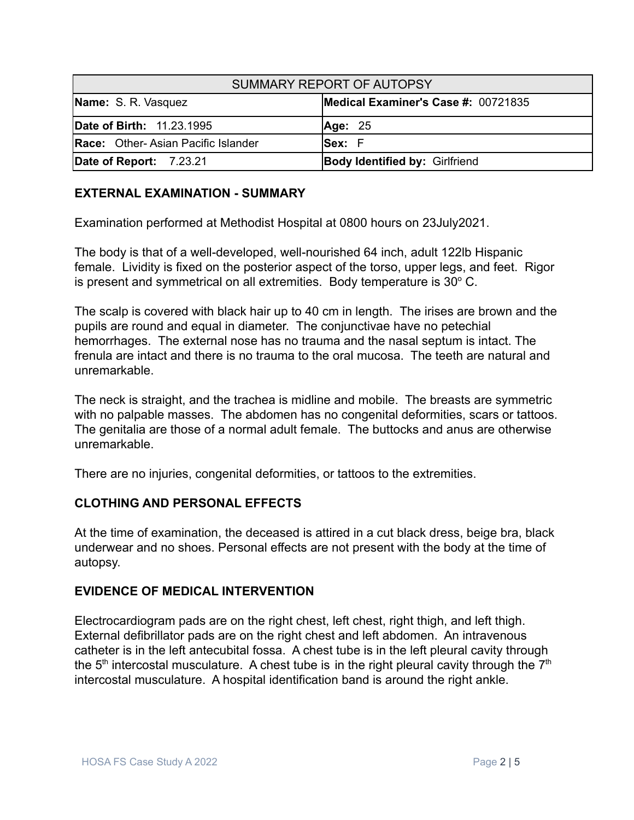| SUMMARY REPORT OF AUTOPSY                 |                                       |
|-------------------------------------------|---------------------------------------|
| Name: S. R. Vasquez                       | Medical Examiner's Case #: 00721835   |
| Date of Birth: 11.23.1995                 | Age: 25                               |
| <b>Race:</b> Other-Asian Pacific Islander | <b>Sex:</b> F                         |
| Date of Report: 7.23.21                   | <b>Body Identified by: Girlfriend</b> |

### **EXTERNAL EXAMINATION - SUMMARY**

Examination performed at Methodist Hospital at 0800 hours on 23July2021.

The body is that of a well-developed, well-nourished 64 inch, adult 122lb Hispanic female. Lividity is fixed on the posterior aspect of the torso, upper legs, and feet. Rigor is present and symmetrical on all extremities. Body temperature is  $30^{\circ}$  C.

The scalp is covered with black hair up to 40 cm in length. The irises are brown and the pupils are round and equal in diameter. The conjunctivae have no petechial hemorrhages. The external nose has no trauma and the nasal septum is intact. The frenula are intact and there is no trauma to the oral mucosa. The teeth are natural and unremarkable.

The neck is straight, and the trachea is midline and mobile. The breasts are symmetric with no palpable masses. The abdomen has no congenital deformities, scars or tattoos. The genitalia are those of a normal adult female. The buttocks and anus are otherwise unremarkable.

There are no injuries, congenital deformities, or tattoos to the extremities.

#### **CLOTHING AND PERSONAL EFFECTS**

At the time of examination, the deceased is attired in a cut black dress, beige bra, black underwear and no shoes. Personal effects are not present with the body at the time of autopsy.

#### **EVIDENCE OF MEDICAL INTERVENTION**

Electrocardiogram pads are on the right chest, left chest, right thigh, and left thigh. External defibrillator pads are on the right chest and left abdomen. An intravenous catheter is in the left antecubital fossa. A chest tube is in the left pleural cavity through the 5<sup>th</sup> intercostal musculature. A chest tube is in the right pleural cavity through the 7<sup>th</sup> intercostal musculature. A hospital identification band is around the right ankle.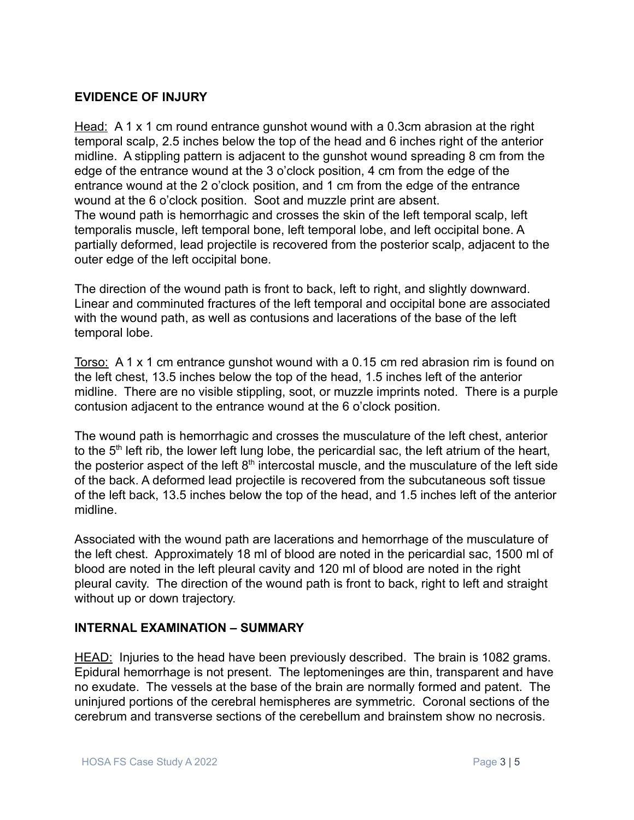#### **EVIDENCE OF INJURY**

Head: A 1 x 1 cm round entrance gunshot wound with a 0.3cm abrasion at the right temporal scalp, 2.5 inches below the top of the head and 6 inches right of the anterior midline. A stippling pattern is adjacent to the gunshot wound spreading 8 cm from the edge of the entrance wound at the 3 o'clock position, 4 cm from the edge of the entrance wound at the 2 o'clock position, and 1 cm from the edge of the entrance wound at the 6 o'clock position. Soot and muzzle print are absent. The wound path is hemorrhagic and crosses the skin of the left temporal scalp, left temporalis muscle, left temporal bone, left temporal lobe, and left occipital bone. A partially deformed, lead projectile is recovered from the posterior scalp, adjacent to the outer edge of the left occipital bone.

The direction of the wound path is front to back, left to right, and slightly downward. Linear and comminuted fractures of the left temporal and occipital bone are associated with the wound path, as well as contusions and lacerations of the base of the left temporal lobe.

Torso: A 1 x 1 cm entrance gunshot wound with a 0.15 cm red abrasion rim is found on the left chest, 13.5 inches below the top of the head, 1.5 inches left of the anterior midline. There are no visible stippling, soot, or muzzle imprints noted. There is a purple contusion adjacent to the entrance wound at the 6 o'clock position.

The wound path is hemorrhagic and crosses the musculature of the left chest, anterior to the  $5<sup>th</sup>$  left rib, the lower left lung lobe, the pericardial sac, the left atrium of the heart, the posterior aspect of the left  $8<sup>th</sup>$  intercostal muscle, and the musculature of the left side of the back. A deformed lead projectile is recovered from the subcutaneous soft tissue of the left back, 13.5 inches below the top of the head, and 1.5 inches left of the anterior midline.

Associated with the wound path are lacerations and hemorrhage of the musculature of the left chest. Approximately 18 ml of blood are noted in the pericardial sac, 1500 ml of blood are noted in the left pleural cavity and 120 ml of blood are noted in the right pleural cavity. The direction of the wound path is front to back, right to left and straight without up or down trajectory.

# **INTERNAL EXAMINATION – SUMMARY**

HEAD: Injuries to the head have been previously described. The brain is 1082 grams. Epidural hemorrhage is not present. The leptomeninges are thin, transparent and have no exudate. The vessels at the base of the brain are normally formed and patent. The uninjured portions of the cerebral hemispheres are symmetric. Coronal sections of the cerebrum and transverse sections of the cerebellum and brainstem show no necrosis.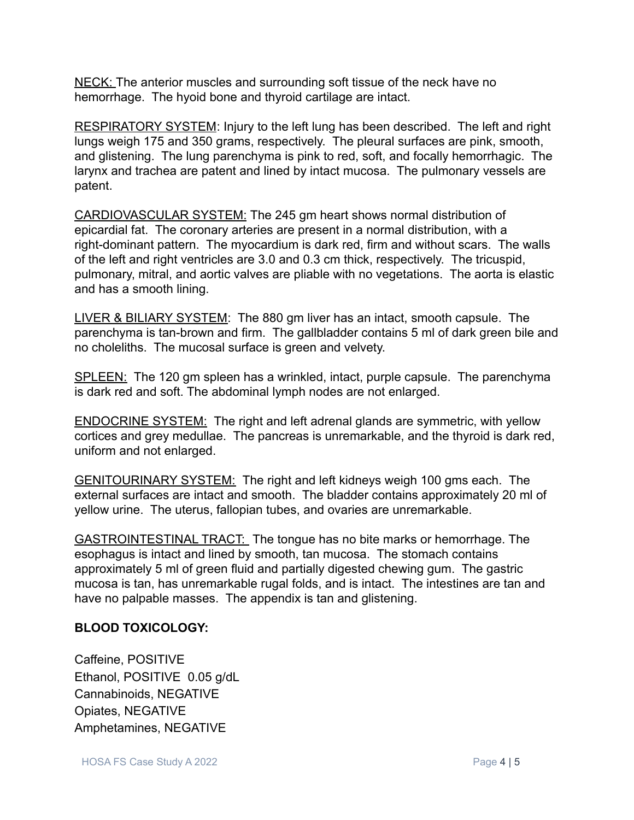NECK: The anterior muscles and surrounding soft tissue of the neck have no hemorrhage. The hyoid bone and thyroid cartilage are intact.

RESPIRATORY SYSTEM: Injury to the left lung has been described. The left and right lungs weigh 175 and 350 grams, respectively. The pleural surfaces are pink, smooth, and glistening. The lung parenchyma is pink to red, soft, and focally hemorrhagic. The larynx and trachea are patent and lined by intact mucosa. The pulmonary vessels are patent.

CARDIOVASCULAR SYSTEM: The 245 gm heart shows normal distribution of epicardial fat. The coronary arteries are present in a normal distribution, with a right-dominant pattern. The myocardium is dark red, firm and without scars. The walls of the left and right ventricles are 3.0 and 0.3 cm thick, respectively. The tricuspid, pulmonary, mitral, and aortic valves are pliable with no vegetations. The aorta is elastic and has a smooth lining.

LIVER & BILIARY SYSTEM: The 880 gm liver has an intact, smooth capsule. The parenchyma is tan-brown and firm. The gallbladder contains 5 ml of dark green bile and no choleliths. The mucosal surface is green and velvety.

SPLEEN: The 120 gm spleen has a wrinkled, intact, purple capsule. The parenchyma is dark red and soft. The abdominal lymph nodes are not enlarged.

ENDOCRINE SYSTEM: The right and left adrenal glands are symmetric, with yellow cortices and grey medullae. The pancreas is unremarkable, and the thyroid is dark red, uniform and not enlarged.

GENITOURINARY SYSTEM: The right and left kidneys weigh 100 gms each. The external surfaces are intact and smooth. The bladder contains approximately 20 ml of yellow urine. The uterus, fallopian tubes, and ovaries are unremarkable.

GASTROINTESTINAL TRACT: The tongue has no bite marks or hemorrhage. The esophagus is intact and lined by smooth, tan mucosa. The stomach contains approximately 5 ml of green fluid and partially digested chewing gum. The gastric mucosa is tan, has unremarkable rugal folds, and is intact. The intestines are tan and have no palpable masses. The appendix is tan and glistening.

# **BLOOD TOXICOLOGY:**

Caffeine, POSITIVE Ethanol, POSITIVE 0.05 g/dL Cannabinoids, NEGATIVE Opiates, NEGATIVE Amphetamines, NEGATIVE

HOSA FS Case Study A 2022 **Page 4 | 5**